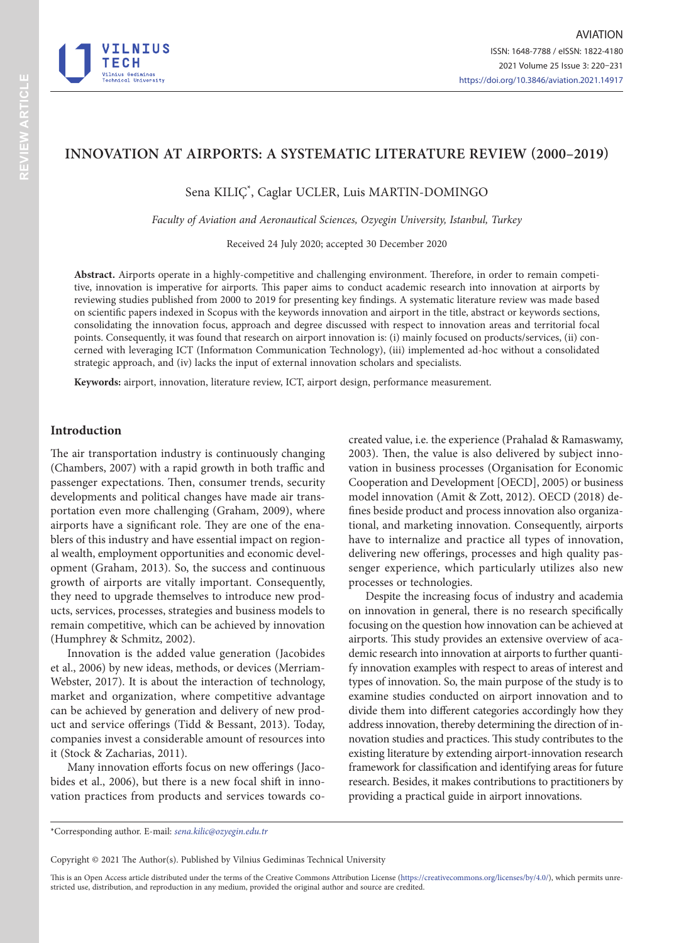

# **INNOVATION AT AIRPORTS: A SYSTEMATIC LITERATURE REVIEW (2000–2019)**

Sena KILIÇ\* , Caglar UCLER, Luis MARTIN-DOMINGO

*Faculty of Aviation and Aeronautical Sciences, Ozyegin University, Istanbul, Turkey*

Received 24 July 2020; accepted 30 December 2020

**Abstract.** Airports operate in a highly-competitive and challenging environment. Therefore, in order to remain competitive, innovation is imperative for airports. This paper aims to conduct academic research into innovation at airports by reviewing studies published from 2000 to 2019 for presenting key findings. A systematic literature review was made based on scientific papers indexed in Scopus with the keywords innovation and airport in the title, abstract or keywords sections, consolidating the innovation focus, approach and degree discussed with respect to innovation areas and territorial focal points. Consequently, it was found that research on airport innovation is: (i) mainly focused on products/services, (ii) concerned with leveraging ICT (Informatıon Communication Technology), (iii) implemented ad-hoc without a consolidated strategic approach, and (iv) lacks the input of external innovation scholars and specialists.

**Keywords:** airport, innovation, literature review, ICT, airport design, performance measurement.

# **Introduction**

The air transportation industry is continuously changing (Chambers, 2007) with a rapid growth in both traffic and passenger expectations. Then, consumer trends, security developments and political changes have made air transportation even more challenging (Graham, 2009), where airports have a significant role. They are one of the enablers of this industry and have essential impact on regional wealth, employment opportunities and economic development (Graham, 2013). So, the success and continuous growth of airports are vitally important. Consequently, they need to upgrade themselves to introduce new products, services, processes, strategies and business models to remain competitive, which can be achieved by innovation (Humphrey & Schmitz, 2002).

Innovation is the added value generation (Jacobides et al., 2006) by new ideas, methods, or devices (Merriam-Webster, 2017). It is about the interaction of technology, market and organization, where competitive advantage can be achieved by generation and delivery of new product and service offerings (Tidd & Bessant, 2013). Today, companies invest a considerable amount of resources into it (Stock & Zacharias, 2011).

Many innovation efforts focus on new offerings (Jacobides et al., 2006), but there is a new focal shift in innovation practices from products and services towards cocreated value, i.e. the experience (Prahalad & Ramaswamy, 2003). Then, the value is also delivered by subject innovation in business processes (Organisation for Economic Cooperation and Development [OECD], 2005) or business model innovation (Amit & Zott, 2012). OECD (2018) defines beside product and process innovation also organizational, and marketing innovation. Consequently, airports have to internalize and practice all types of innovation, delivering new offerings, processes and high quality passenger experience, which particularly utilizes also new processes or technologies.

Despite the increasing focus of industry and academia on innovation in general, there is no research specifically focusing on the question how innovation can be achieved at airports. This study provides an extensive overview of academic research into innovation at airports to further quantify innovation examples with respect to areas of interest and types of innovation. So, the main purpose of the study is to examine studies conducted on airport innovation and to divide them into different categories accordingly how they address innovation, thereby determining the direction of innovation studies and practices. This study contributes to the existing literature by extending airport-innovation research framework for classification and identifying areas for future research. Besides, it makes contributions to practitioners by providing a practical guide in airport innovations.

Copyright © 2021 The Author(s). Published by Vilnius Gediminas Technical University

This is an Open Access article distributed under the terms of the Creative Commons Attribution License [\(https://creativecommons.org/licenses/by/4.0/\)](http://creativecommons.org/licenses/by/4.0/), which permits unrestricted use, distribution, and reproduction in any medium, provided the original author and source are credited.

<sup>\*</sup>Corresponding author. E-mail: *sena.kilic@ozyegin.edu.tr*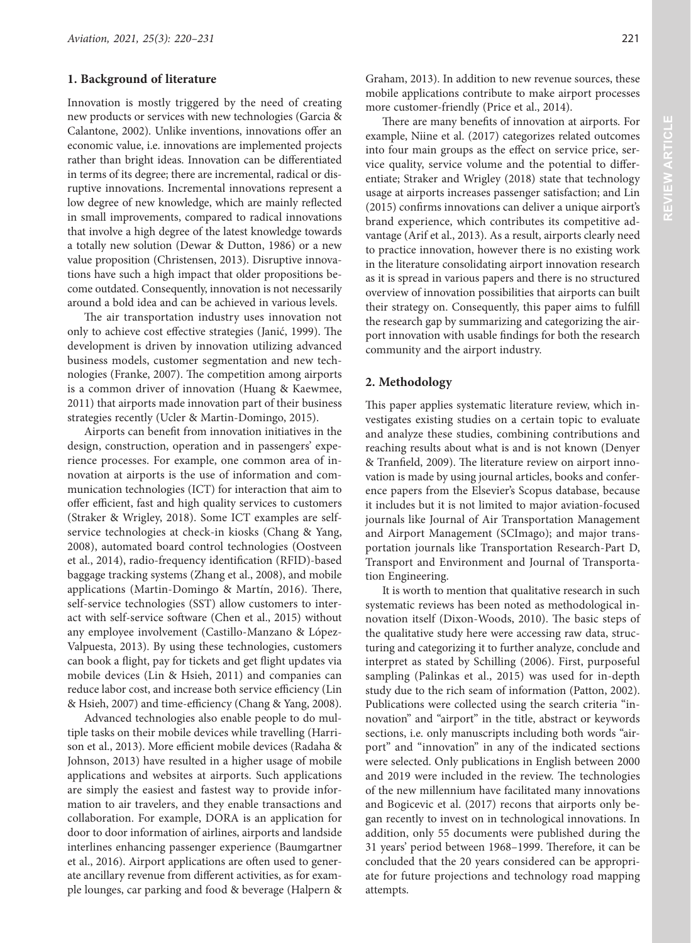#### **1. Background of literature**

Innovation is mostly triggered by the need of creating new products or services with new technologies (Garcia & Calantone, 2002). Unlike inventions, innovations offer an economic value, i.e. innovations are implemented projects rather than bright ideas. Innovation can be differentiated in terms of its degree; there are incremental, radical or disruptive innovations. Incremental innovations represent a low degree of new knowledge, which are mainly reflected in small improvements, compared to radical innovations that involve a high degree of the latest knowledge towards a totally new solution (Dewar & Dutton, 1986) or a new value proposition (Christensen, 2013). Disruptive innovations have such a high impact that older propositions become outdated. Consequently, innovation is not necessarily around a bold idea and can be achieved in various levels.

The air transportation industry uses innovation not only to achieve cost effective strategies (Janić, 1999). The development is driven by innovation utilizing advanced business models, customer segmentation and new technologies (Franke, 2007). The competition among airports is a common driver of innovation (Huang & Kaewmee, 2011) that airports made innovation part of their business strategies recently (Ucler & Martin-Domingo, 2015).

Airports can benefit from innovation initiatives in the design, construction, operation and in passengers' experience processes. For example, one common area of innovation at airports is the use of information and communication technologies (ICT) for interaction that aim to offer efficient, fast and high quality services to customers (Straker & Wrigley, 2018). Some ICT examples are selfservice technologies at check-in kiosks (Chang & Yang, 2008), automated board control technologies (Oostveen et al., 2014), radio-frequency identification (RFID)-based baggage tracking systems (Zhang et al., 2008), and mobile applications (Martin-Domingo & Martín, 2016). There, self-service technologies (SST) allow customers to interact with self-service software (Chen et al., 2015) without any employee involvement (Castillo-Manzano & López-Valpuesta, 2013). By using these technologies, customers can book a flight, pay for tickets and get flight updates via mobile devices (Lin & Hsieh, 2011) and companies can reduce labor cost, and increase both service efficiency (Lin & Hsieh, 2007) and time-efficiency (Chang & Yang, 2008).

Advanced technologies also enable people to do multiple tasks on their mobile devices while travelling (Harrison et al., 2013). More efficient mobile devices (Radaha & Johnson, 2013) have resulted in a higher usage of mobile applications and websites at airports. Such applications are simply the easiest and fastest way to provide information to air travelers, and they enable transactions and collaboration. For example, DORA is an application for door to door information of airlines, airports and landside interlines enhancing passenger experience (Baumgartner et al., 2016). Airport applications are often used to generate ancillary revenue from different activities, as for example lounges, car parking and food & beverage (Halpern & Graham, 2013). In addition to new revenue sources, these mobile applications contribute to make airport processes more customer-friendly (Price et al., 2014).

There are many benefits of innovation at airports. For example, Niine et al. (2017) categorizes related outcomes into four main groups as the effect on service price, service quality, service volume and the potential to differentiate; Straker and Wrigley (2018) state that technology usage at airports increases passenger satisfaction; and Lin (2015) confirms innovations can deliver a unique airport's brand experience, which contributes its competitive advantage (Arif et al., 2013). As a result, airports clearly need to practice innovation, however there is no existing work in the literature consolidating airport innovation research as it is spread in various papers and there is no structured overview of innovation possibilities that airports can built their strategy on. Consequently, this paper aims to fulfill the research gap by summarizing and categorizing the airport innovation with usable findings for both the research community and the airport industry.

### **2. Methodology**

This paper applies systematic literature review, which investigates existing studies on a certain topic to evaluate and analyze these studies, combining contributions and reaching results about what is and is not known (Denyer & Tranfield, 2009). The literature review on airport innovation is made by using journal articles, books and conference papers from the Elsevier's Scopus database, because it includes but it is not limited to major aviation-focused journals like Journal of Air Transportation Management and Airport Management (SCImago); and major transportation journals like Transportation Research-Part D, Transport and Environment and Journal of Transportation Engineering.

It is worth to mention that qualitative research in such systematic reviews has been noted as methodological innovation itself (Dixon-Woods, 2010). The basic steps of the qualitative study here were accessing raw data, structuring and categorizing it to further analyze, conclude and interpret as stated by Schilling (2006). First, purposeful sampling (Palinkas et al., 2015) was used for in-depth study due to the rich seam of information (Patton, 2002). Publications were collected using the search criteria "innovation" and "airport" in the title, abstract or keywords sections, i.e. only manuscripts including both words "airport" and "innovation" in any of the indicated sections were selected. Only publications in English between 2000 and 2019 were included in the review. The technologies of the new millennium have facilitated many innovations and Bogicevic et al. (2017) recons that airports only began recently to invest on in technological innovations. In addition, only 55 documents were published during the 31 years' period between 1968–1999. Therefore, it can be concluded that the 20 years considered can be appropriate for future projections and technology road mapping attempts.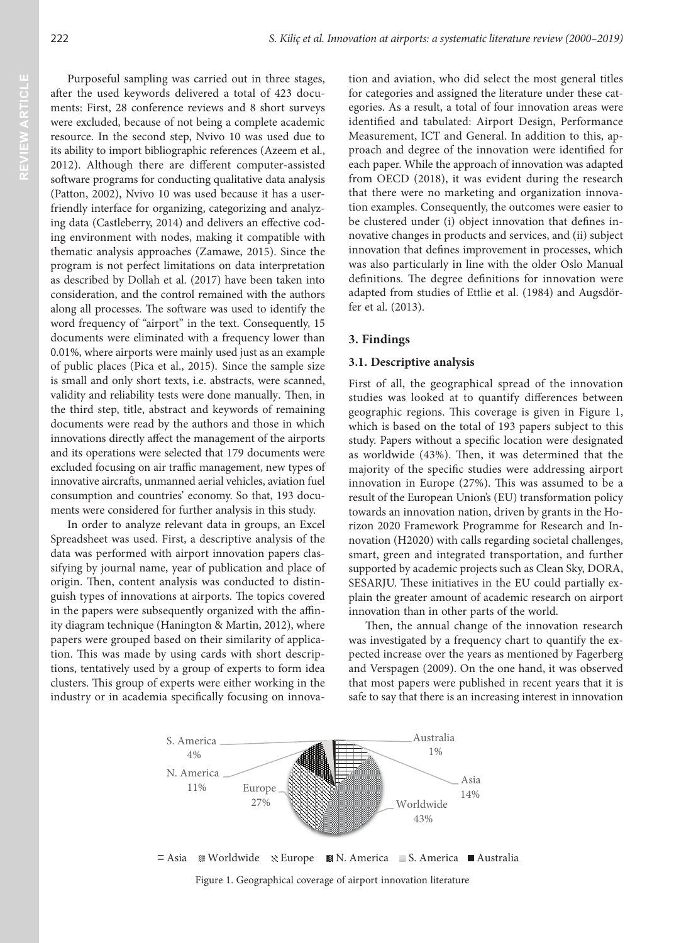Purposeful sampling was carried out in three stages, after the used keywords delivered a total of 423 documents: First, 28 conference reviews and 8 short surveys were excluded, because of not being a complete academic resource. In the second step, Nvivo 10 was used due to its ability to import bibliographic references (Azeem et al., 2012). Although there are different computer-assisted software programs for conducting qualitative data analysis (Patton, 2002), Nvivo 10 was used because it has a userfriendly interface for organizing, categorizing and analyzing data (Castleberry, 2014) and delivers an effective coding environment with nodes, making it compatible with thematic analysis approaches (Zamawe, 2015). Since the program is not perfect limitations on data interpretation as described by Dollah et al. (2017) have been taken into consideration, and the control remained with the authors along all processes. The software was used to identify the word frequency of "airport" in the text. Consequently, 15 documents were eliminated with a frequency lower than 0.01%, where airports were mainly used just as an example of public places (Pica et al., 2015). Since the sample size is small and only short texts, i.e. abstracts, were scanned, validity and reliability tests were done manually. Then, in the third step, title, abstract and keywords of remaining documents were read by the authors and those in which innovations directly affect the management of the airports and its operations were selected that 179 documents were excluded focusing on air traffic management, new types of innovative aircrafts, unmanned aerial vehicles, aviation fuel consumption and countries' economy. So that, 193 documents were considered for further analysis in this study.

In order to analyze relevant data in groups, an Excel Spreadsheet was used. First, a descriptive analysis of the data was performed with airport innovation papers classifying by journal name, year of publication and place of origin. Then, content analysis was conducted to distinguish types of innovations at airports. The topics covered in the papers were subsequently organized with the affinity diagram technique (Hanington & Martin, 2012), where papers were grouped based on their similarity of application. This was made by using cards with short descriptions, tentatively used by a group of experts to form idea clusters. This group of experts were either working in the industry or in academia specifically focusing on innovation and aviation, who did select the most general titles for categories and assigned the literature under these categories. As a result, a total of four innovation areas were identified and tabulated: Airport Design, Performance Measurement, ICT and General. In addition to this, approach and degree of the innovation were identified for each paper. While the approach of innovation was adapted from OECD (2018), it was evident during the research that there were no marketing and organization innovation examples. Consequently, the outcomes were easier to be clustered under (i) object innovation that defines innovative changes in products and services, and (ii) subject innovation that defines improvement in processes, which was also particularly in line with the older Oslo Manual definitions. The degree definitions for innovation were adapted from studies of Ettlie et al. (1984) and Augsdörfer et al. (2013).

# **3. Findings**

### **3.1. Descriptive analysis**

First of all, the geographical spread of the innovation studies was looked at to quantify differences between geographic regions. This coverage is given in Figure 1, which is based on the total of 193 papers subject to this study. Papers without a specific location were designated as worldwide (43%). Then, it was determined that the majority of the specific studies were addressing airport innovation in Europe (27%). This was assumed to be a result of the European Union's (EU) transformation policy towards an innovation nation, driven by grants in the Horizon 2020 Framework Programme for Research and Innovation (H2020) with calls regarding societal challenges, smart, green and integrated transportation, and further supported by academic projects such as Clean Sky, DORA, SESARJU. These initiatives in the EU could partially explain the greater amount of academic research on airport innovation than in other parts of the world.

Then, the annual change of the innovation research was investigated by a frequency chart to quantify the expected increase over the years as mentioned by Fagerberg and Verspagen (2009). On the one hand, it was observed that most papers were published in recent years that it is safe to say that there is an increasing interest in innovation

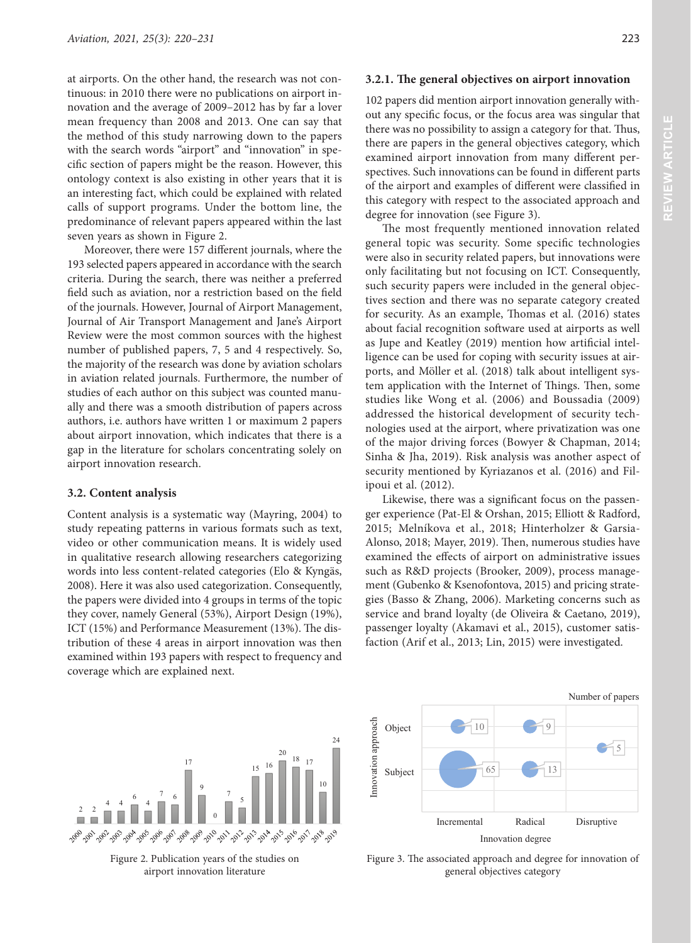at airports. On the other hand, the research was not continuous: in 2010 there were no publications on airport innovation and the average of 2009–2012 has by far a lover mean frequency than 2008 and 2013. One can say that the method of this study narrowing down to the papers with the search words "airport" and "innovation" in specific section of papers might be the reason. However, this ontology context is also existing in other years that it is an interesting fact, which could be explained with related calls of support programs. Under the bottom line, the predominance of relevant papers appeared within the last seven years as shown in Figure 2.

Moreover, there were 157 different journals, where the 193 selected papers appeared in accordance with the search criteria. During the search, there was neither a preferred field such as aviation, nor a restriction based on the field of the journals. However, Journal of Airport Management, Journal of Air Transport Management and Jane's Airport Review were the most common sources with the highest number of published papers, 7, 5 and 4 respectively. So, the majority of the research was done by aviation scholars in aviation related journals. Furthermore, the number of studies of each author on this subject was counted manually and there was a smooth distribution of papers across authors, i.e. authors have written 1 or maximum 2 papers about airport innovation, which indicates that there is a gap in the literature for scholars concentrating solely on airport innovation research.

#### **3.2. Content analysis**

Content analysis is a systematic way (Mayring, 2004) to study repeating patterns in various formats such as text, video or other communication means. It is widely used in qualitative research allowing researchers categorizing words into less content‐related categories (Elo & Kyngäs, 2008). Here it was also used categorization. Consequently, the papers were divided into 4 groups in terms of the topic they cover, namely General (53%), Airport Design (19%), ICT (15%) and Performance Measurement (13%). The distribution of these 4 areas in airport innovation was then examined within 193 papers with respect to frequency and coverage which are explained next.

102 papers did mention airport innovation generally without any specific focus, or the focus area was singular that there was no possibility to assign a category for that. Thus, there are papers in the general objectives category, which examined airport innovation from many different perspectives. Such innovations can be found in different parts of the airport and examples of different were classified in this category with respect to the associated approach and degree for innovation (see Figure 3).

The most frequently mentioned innovation related general topic was security. Some specific technologies were also in security related papers, but innovations were only facilitating but not focusing on ICT. Consequently, such security papers were included in the general objectives section and there was no separate category created for security. As an example, Thomas et al. (2016) states about facial recognition software used at airports as well as Jupe and Keatley (2019) mention how artificial intelligence can be used for coping with security issues at airports, and Möller et al. (2018) talk about intelligent system application with the Internet of Things. Then, some studies like Wong et al. (2006) and Boussadia (2009) addressed the historical development of security technologies used at the airport, where privatization was one of the major driving forces (Bowyer & Chapman, 2014; Sinha & Jha, 2019). Risk analysis was another aspect of security mentioned by Kyriazanos et al. (2016) and Filipoui et al. (2012).

Likewise, there was a significant focus on the passenger experience (Pat-El & Orshan, 2015; Elliott & Radford, 2015; Melníkova et al., 2018; Hinterholzer & Garsia-Alonso, 2018; Mayer, 2019). Then, numerous studies have examined the effects of airport on administrative issues such as R&D projects (Brooker, 2009), process management (Gubenko & Ksenofontova, 2015) and pricing strategies (Basso & Zhang, 2006). Marketing concerns such as service and brand loyalty (de Oliveira & Caetano, 2019), passenger loyalty (Akamavi et al., 2015), customer satisfaction (Arif et al., 2013; Lin, 2015) were investigated.



Figure 2. Publication years of the studies on airport innovation literature



Figure 3. The associated approach and degree for innovation of general objectives category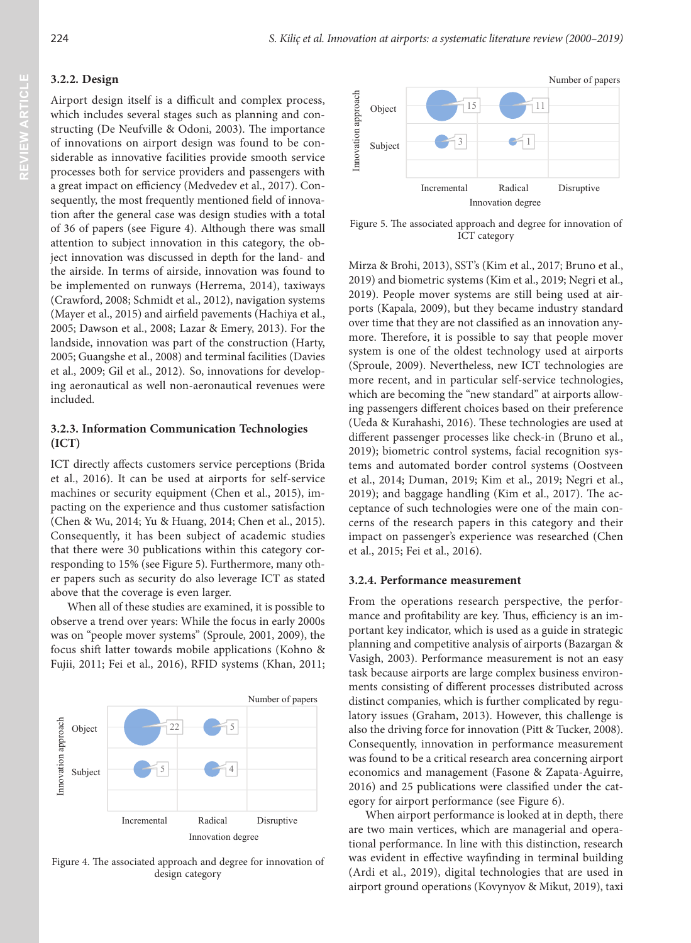## **3.2.2. Design**

Airport design itself is a difficult and complex process, which includes several stages such as planning and constructing (De Neufville & Odoni, 2003). The importance of innovations on airport design was found to be considerable as innovative facilities provide smooth service processes both for service providers and passengers with a great impact on efficiency (Medvedev et al., 2017). Consequently, the most frequently mentioned field of innovation after the general case was design studies with a total of 36 of papers (see Figure 4). Although there was small attention to subject innovation in this category, the object innovation was discussed in depth for the land- and the airside. In terms of airside, innovation was found to be implemented on runways (Herrema, 2014), taxiways (Crawford, 2008; Schmidt et al., 2012), navigation systems (Mayer et al., 2015) and airfield pavements (Hachiya et al., 2005; Dawson et al., 2008; Lazar & Emery, 2013). For the landside, innovation was part of the construction (Harty, 2005; Guangshe et al., 2008) and terminal facilities (Davies et al., 2009; Gil et al., 2012). So, innovations for developing aeronautical as well non-aeronautical revenues were included.

## **3.2.3. Information Communication Technologies (ICT)**

ICT directly affects customers service perceptions (Brida et al., 2016). It can be used at airports for self-service machines or security equipment (Chen et al., 2015), impacting on the experience and thus customer satisfaction (Chen & Wu, 2014; Yu & Huang, 2014; Chen et al., 2015). Consequently, it has been subject of academic studies that there were 30 publications within this category corresponding to 15% (see Figure 5). Furthermore, many other papers such as security do also leverage ICT as stated above that the coverage is even larger.

When all of these studies are examined, it is possible to observe a trend over years: While the focus in early 2000s was on "people mover systems" (Sproule, 2001, 2009), the focus shift latter towards mobile applications (Kohno & Fujii, 2011; Fei et al., 2016), RFID systems (Khan, 2011;



 $\frac{2}{1}4$ 

5

Number of papers

5

Subject

Innovation approach

Innovation approach

Object

22



Figure 5. The associated approach and degree for innovation of ICT category

Mirza & Brohi, 2013), SST's (Kim et al., 2017; Bruno et al., 2019) and biometric systems (Kim et al., 2019; Negri et al., 2019). People mover systems are still being used at airports (Kapala, 2009), but they became industry standard over time that they are not classified as an innovation anymore. Therefore, it is possible to say that people mover system is one of the oldest technology used at airports (Sproule, 2009). Nevertheless, new ICT technologies are more recent, and in particular self-service technologies, which are becoming the "new standard" at airports allowing passengers different choices based on their preference (Ueda & Kurahashi, 2016). These technologies are used at different passenger processes like check-in (Bruno et al., 2019); biometric control systems, facial recognition systems and automated border control systems (Oostveen et al., 2014; Duman, 2019; Kim et al., 2019; Negri et al., 2019); and baggage handling (Kim et al., 2017). The acceptance of such technologies were one of the main concerns of the research papers in this category and their impact on passenger's experience was researched (Chen et al., 2015; Fei et al., 2016).

#### **3.2.4. Performance measurement**

From the operations research perspective, the performance and profitability are key. Thus, efficiency is an important key indicator, which is used as a guide in strategic planning and competitive analysis of airports (Bazargan & Vasigh, 2003). Performance measurement is not an easy task because airports are large complex business environments consisting of different processes distributed across distinct companies, which is further complicated by regulatory issues (Graham, 2013). However, this challenge is also the driving force for innovation (Pitt & Tucker, 2008). Consequently, innovation in performance measurement was found to be a critical research area concerning airport economics and management (Fasone & Zapata-Aguirre, 2016) and 25 publications were classified under the category for airport performance (see Figure 6).

When airport performance is looked at in depth, there are two main vertices, which are managerial and operational performance. In line with this distinction, research was evident in effective wayfinding in terminal building (Ardi et al., 2019), digital technologies that are used in airport ground operations (Kovynyov & Mikut, 2019), taxi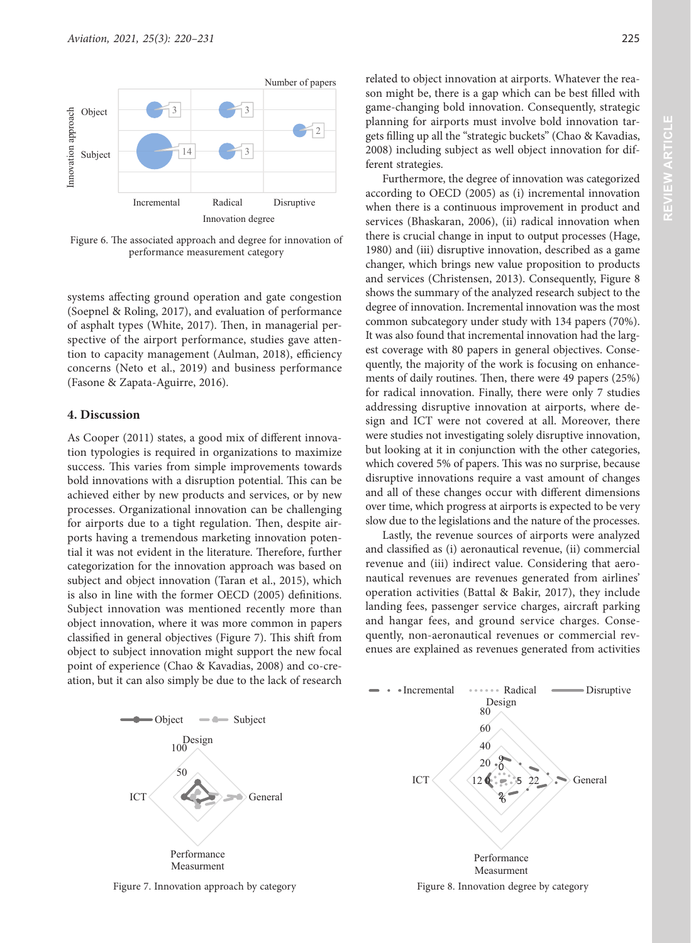

Figure 6. The associated approach and degree for innovation of performance measurement category

systems affecting ground operation and gate congestion (Soepnel & Roling, 2017), and evaluation of performance of asphalt types (White, 2017). Then, in managerial perspective of the airport performance, studies gave attention to capacity management (Aulman, 2018), efficiency concerns (Neto et al., 2019) and business performance (Fasone & Zapata-Aguirre, 2016).

# **4. Discussion**

As Cooper (2011) states, a good mix of different innovation typologies is required in organizations to maximize success. This varies from simple improvements towards bold innovations with a disruption potential. This can be achieved either by new products and services, or by new processes. Organizational innovation can be challenging for airports due to a tight regulation. Then, despite airports having a tremendous marketing innovation potential it was not evident in the literature. Therefore, further categorization for the innovation approach was based on subject and object innovation (Taran et al., 2015), which is also in line with the former OECD (2005) definitions. Subject innovation was mentioned recently more than object innovation, where it was more common in papers classified in general objectives (Figure 7). This shift from object to subject innovation might support the new focal point of experience (Chao & Kavadias, 2008) and co-creation, but it can also simply be due to the lack of research

related to object innovation at airports. Whatever the reason might be, there is a gap which can be best filled with game-changing bold innovation. Consequently, strategic planning for airports must involve bold innovation targets filling up all the "strategic buckets" (Chao & Kavadias, 2008) including subject as well object innovation for different strategies.

Furthermore, the degree of innovation was categorized according to OECD (2005) as (i) incremental innovation when there is a continuous improvement in product and services (Bhaskaran, 2006), (ii) radical innovation when there is crucial change in input to output processes (Hage, 1980) and (iii) disruptive innovation, described as a game changer, which brings new value proposition to products and services (Christensen, 2013). Consequently, Figure 8 shows the summary of the analyzed research subject to the degree of innovation. Incremental innovation was the most common subcategory under study with 134 papers (70%). It was also found that incremental innovation had the largest coverage with 80 papers in general objectives. Consequently, the majority of the work is focusing on enhancements of daily routines. Then, there were 49 papers (25%) for radical innovation. Finally, there were only 7 studies addressing disruptive innovation at airports, where design and ICT were not covered at all. Moreover, there were studies not investigating solely disruptive innovation, but looking at it in conjunction with the other categories, which covered 5% of papers. This was no surprise, because disruptive innovations require a vast amount of changes and all of these changes occur with different dimensions over time, which progress at airports is expected to be very slow due to the legislations and the nature of the processes.

Lastly, the revenue sources of airports were analyzed and classified as (i) aeronautical revenue, (ii) commercial revenue and (iii) indirect value. Considering that aeronautical revenues are revenues generated from airlines' operation activities (Battal & Bakir, 2017), they include landing fees, passenger service charges, aircraft parking and hangar fees, and ground service charges. Consequently, non-aeronautical revenues or commercial revenues are explained as revenues generated from activities



Figure 7. Innovation approach by category

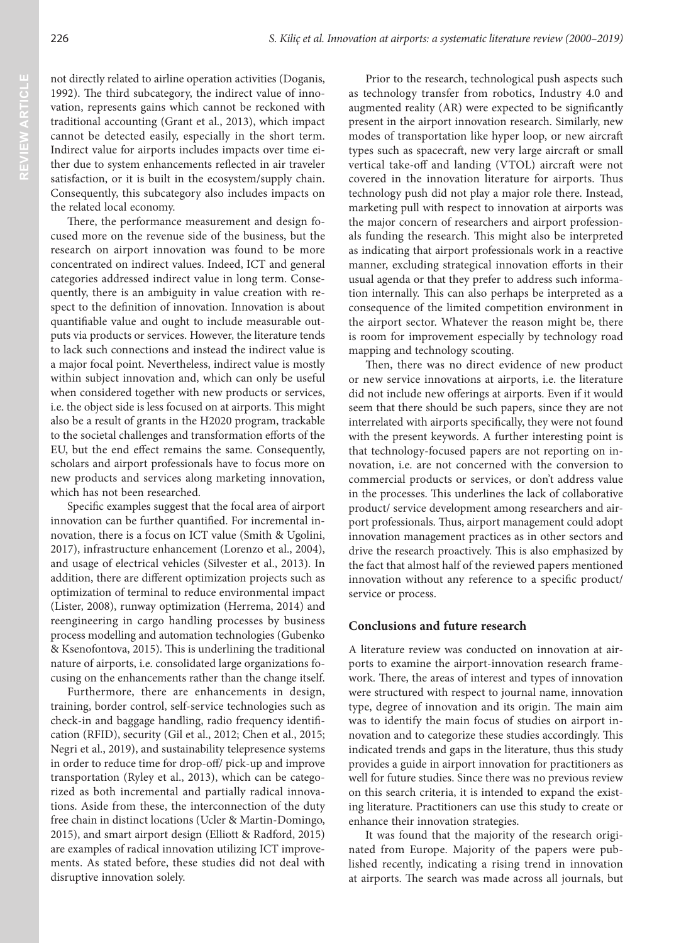not directly related to airline operation activities (Doganis, 1992). The third subcategory, the indirect value of innovation, represents gains which cannot be reckoned with traditional accounting (Grant et al., 2013), which impact cannot be detected easily, especially in the short term. Indirect value for airports includes impacts over time either due to system enhancements reflected in air traveler satisfaction, or it is built in the ecosystem/supply chain. Consequently, this subcategory also includes impacts on the related local economy.

There, the performance measurement and design focused more on the revenue side of the business, but the research on airport innovation was found to be more concentrated on indirect values. Indeed, ICT and general categories addressed indirect value in long term. Consequently, there is an ambiguity in value creation with respect to the definition of innovation. Innovation is about quantifiable value and ought to include measurable outputs via products or services. However, the literature tends to lack such connections and instead the indirect value is a major focal point. Nevertheless, indirect value is mostly within subject innovation and, which can only be useful when considered together with new products or services, i.e. the object side is less focused on at airports. This might also be a result of grants in the H2020 program, trackable to the societal challenges and transformation efforts of the EU, but the end effect remains the same. Consequently, scholars and airport professionals have to focus more on new products and services along marketing innovation, which has not been researched.

Specific examples suggest that the focal area of airport innovation can be further quantified. For incremental innovation, there is a focus on ICT value (Smith & Ugolini, 2017), infrastructure enhancement (Lorenzo et al., 2004), and usage of electrical vehicles (Silvester et al., 2013). In addition, there are different optimization projects such as optimization of terminal to reduce environmental impact (Lister, 2008), runway optimization (Herrema, 2014) and reengineering in cargo handling processes by business process modelling and automation technologies (Gubenko & Ksenofontova, 2015). This is underlining the traditional nature of airports, i.e. consolidated large organizations focusing on the enhancements rather than the change itself.

Furthermore, there are enhancements in design, training, border control, self-service technologies such as check-in and baggage handling, radio frequency identification (RFID), security (Gil et al., 2012; Chen et al., 2015; Negri et al., 2019), and sustainability telepresence systems in order to reduce time for drop-off/ pick-up and improve transportation (Ryley et al., 2013), which can be categorized as both incremental and partially radical innovations. Aside from these, the interconnection of the duty free chain in distinct locations (Ucler & Martin-Domingo, 2015), and smart airport design (Elliott & Radford, 2015) are examples of radical innovation utilizing ICT improvements. As stated before, these studies did not deal with disruptive innovation solely.

Prior to the research, technological push aspects such as technology transfer from robotics, Industry 4.0 and augmented reality (AR) were expected to be significantly present in the airport innovation research. Similarly, new modes of transportation like hyper loop, or new aircraft types such as spacecraft, new very large aircraft or small vertical take-off and landing (VTOL) aircraft were not covered in the innovation literature for airports. Thus technology push did not play a major role there. Instead, marketing pull with respect to innovation at airports was the major concern of researchers and airport professionals funding the research. This might also be interpreted as indicating that airport professionals work in a reactive manner, excluding strategical innovation efforts in their usual agenda or that they prefer to address such information internally. This can also perhaps be interpreted as a consequence of the limited competition environment in the airport sector. Whatever the reason might be, there is room for improvement especially by technology road mapping and technology scouting.

Then, there was no direct evidence of new product or new service innovations at airports, i.e. the literature did not include new offerings at airports. Even if it would seem that there should be such papers, since they are not interrelated with airports specifically, they were not found with the present keywords. A further interesting point is that technology-focused papers are not reporting on innovation, i.e. are not concerned with the conversion to commercial products or services, or don't address value in the processes. This underlines the lack of collaborative product/ service development among researchers and airport professionals. Thus, airport management could adopt innovation management practices as in other sectors and drive the research proactively. This is also emphasized by the fact that almost half of the reviewed papers mentioned innovation without any reference to a specific product/ service or process.

### **Conclusions and future research**

A literature review was conducted on innovation at airports to examine the airport-innovation research framework. There, the areas of interest and types of innovation were structured with respect to journal name, innovation type, degree of innovation and its origin. The main aim was to identify the main focus of studies on airport innovation and to categorize these studies accordingly. This indicated trends and gaps in the literature, thus this study provides a guide in airport innovation for practitioners as well for future studies. Since there was no previous review on this search criteria, it is intended to expand the existing literature. Practitioners can use this study to create or enhance their innovation strategies.

It was found that the majority of the research originated from Europe. Majority of the papers were published recently, indicating a rising trend in innovation at airports. The search was made across all journals, but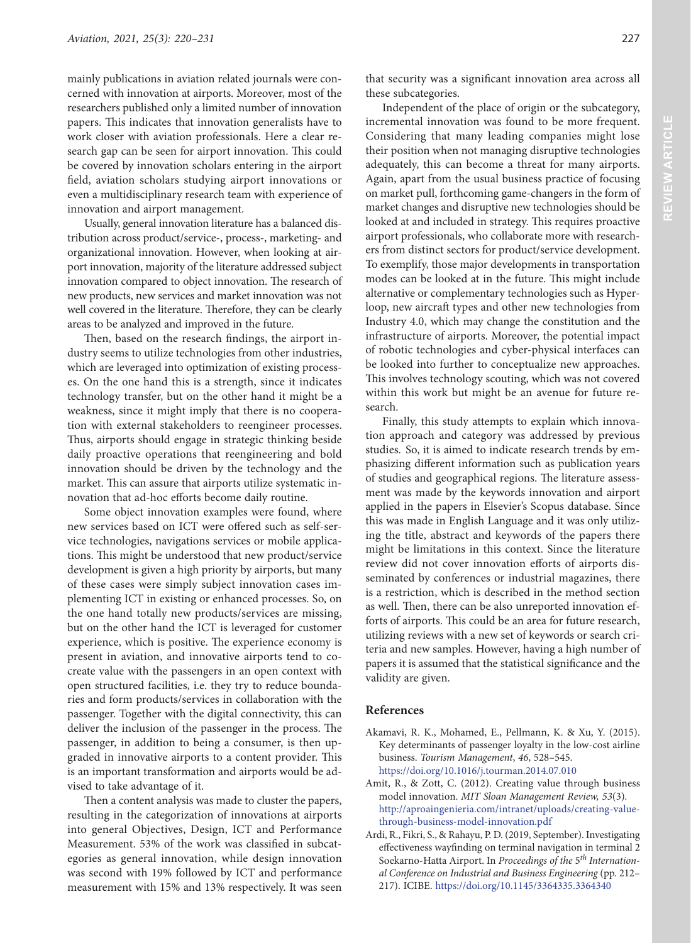mainly publications in aviation related journals were concerned with innovation at airports. Moreover, most of the researchers published only a limited number of innovation papers. This indicates that innovation generalists have to work closer with aviation professionals. Here a clear research gap can be seen for airport innovation. This could be covered by innovation scholars entering in the airport field, aviation scholars studying airport innovations or even a multidisciplinary research team with experience of innovation and airport management.

Usually, general innovation literature has a balanced distribution across product/service-, process-, marketing- and organizational innovation. However, when looking at airport innovation, majority of the literature addressed subject innovation compared to object innovation. The research of new products, new services and market innovation was not well covered in the literature. Therefore, they can be clearly areas to be analyzed and improved in the future.

Then, based on the research findings, the airport industry seems to utilize technologies from other industries, which are leveraged into optimization of existing processes. On the one hand this is a strength, since it indicates technology transfer, but on the other hand it might be a weakness, since it might imply that there is no cooperation with external stakeholders to reengineer processes. Thus, airports should engage in strategic thinking beside daily proactive operations that reengineering and bold innovation should be driven by the technology and the market. This can assure that airports utilize systematic innovation that ad-hoc efforts become daily routine.

Some object innovation examples were found, where new services based on ICT were offered such as self-service technologies, navigations services or mobile applications. This might be understood that new product/service development is given a high priority by airports, but many of these cases were simply subject innovation cases implementing ICT in existing or enhanced processes. So, on the one hand totally new products/services are missing, but on the other hand the ICT is leveraged for customer experience, which is positive. The experience economy is present in aviation, and innovative airports tend to cocreate value with the passengers in an open context with open structured facilities, i.e. they try to reduce boundaries and form products/services in collaboration with the passenger. Together with the digital connectivity, this can deliver the inclusion of the passenger in the process. The passenger, in addition to being a consumer, is then upgraded in innovative airports to a content provider. This is an important transformation and airports would be advised to take advantage of it.

Then a content analysis was made to cluster the papers, resulting in the categorization of innovations at airports into general Objectives, Design, ICT and Performance Measurement. 53% of the work was classified in subcategories as general innovation, while design innovation was second with 19% followed by ICT and performance measurement with 15% and 13% respectively. It was seen that security was a significant innovation area across all these subcategories.

Independent of the place of origin or the subcategory, incremental innovation was found to be more frequent. Considering that many leading companies might lose their position when not managing disruptive technologies adequately, this can become a threat for many airports. Again, apart from the usual business practice of focusing on market pull, forthcoming game-changers in the form of market changes and disruptive new technologies should be looked at and included in strategy. This requires proactive airport professionals, who collaborate more with researchers from distinct sectors for product/service development. To exemplify, those major developments in transportation modes can be looked at in the future. This might include alternative or complementary technologies such as Hyperloop, new aircraft types and other new technologies from Industry 4.0, which may change the constitution and the infrastructure of airports. Moreover, the potential impact of robotic technologies and cyber-physical interfaces can be looked into further to conceptualize new approaches. This involves technology scouting, which was not covered within this work but might be an avenue for future research.

Finally, this study attempts to explain which innovation approach and category was addressed by previous studies. So, it is aimed to indicate research trends by emphasizing different information such as publication years of studies and geographical regions. The literature assessment was made by the keywords innovation and airport applied in the papers in Elsevier's Scopus database. Since this was made in English Language and it was only utilizing the title, abstract and keywords of the papers there might be limitations in this context. Since the literature review did not cover innovation efforts of airports disseminated by conferences or industrial magazines, there is a restriction, which is described in the method section as well. Then, there can be also unreported innovation efforts of airports. This could be an area for future research, utilizing reviews with a new set of keywords or search criteria and new samples. However, having a high number of papers it is assumed that the statistical significance and the validity are given.

### **References**

- Akamavi, R. K., Mohamed, E., Pellmann, K. & Xu, Y. (2015). Key determinants of passenger loyalty in the low-cost airline business. *Tourism Management*, *46*, 528–545. <https://doi.org/10.1016/j.tourman.2014.07.010>
- Amit, R., & Zott, C. (2012). Creating value through business model innovation. *MIT Sloan Management Review, 53*(3)*.* [http://aproaingenieria.com/intranet/uploads/creating-value](http://aproaingenieria.com/intranet/uploads/creating-value-through-business-model-innovation.pdf)[through-business-model-innovation.pdf](http://aproaingenieria.com/intranet/uploads/creating-value-through-business-model-innovation.pdf)
- Ardi, R., Fikri, S., & Rahayu, P. D. (2019, September). Investigating effectiveness wayfinding on terminal navigation in terminal 2 Soekarno-Hatta Airport. In *Proceedings of the* 5*th International Conference on Industrial and Business Engineering* (pp. 212– 217). ICIBE. <https://doi.org/10.1145/3364335.3364340>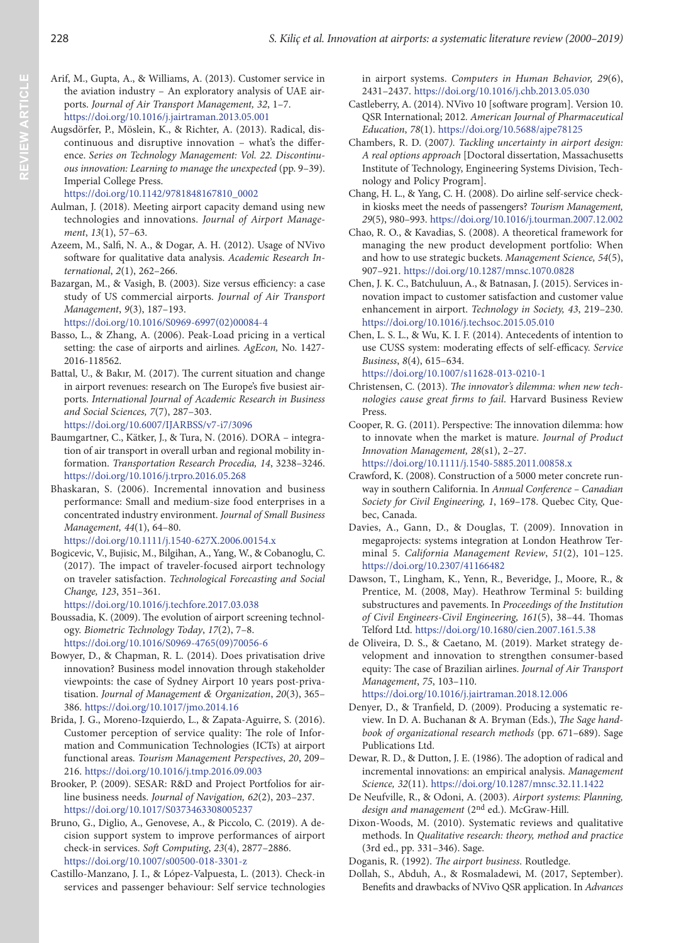- Arif, M., Gupta, A., & Williams, A. (2013). Customer service in the aviation industry – An exploratory analysis of UAE airports. *Journal of Air Transport Management, 32*, 1–7. <https://doi.org/10.1016/j.jairtraman.2013.05.001>
- Augsdörfer, P., Möslein, K., & Richter, A. (2013). Radical, discontinuous and disruptive innovation – what's the difference. *Series on Technology Management: Vol. 22. Discontinuous innovation: Learning to manage the unexpected* (pp. 9–39). Imperial College Press.

# [https://doi.org/10.1142/9781848167810\\_0002](https://doi.org/10.1142/9781848167810_0002)

- Aulman, J. (2018). Meeting airport capacity demand using new technologies and innovations. *Journal of Airport Management*, *13*(1), 57–63.
- Azeem, M., Salfi, N. A., & Dogar, A. H. (2012). Usage of NVivo software for qualitative data analysis. *Academic Research International*, *2*(1), 262–266.
- Bazargan, M., & Vasigh, B. (2003). Size versus efficiency: a case study of US commercial airports. *Journal of Air Transport Management*, *9*(3), 187–193.

[https://doi.org/10.1016/S0969-6997\(02\)00084-4](https://doi.org/10.1016/S0969-6997(02)00084-4)

- Basso, L., & Zhang, A. (2006). Peak-Load pricing in a vertical setting: the case of airports and airlines*. AgEcon,* No. 1427- 2016-118562.
- Battal, U., & Bakır, M. (2017). The current situation and change in airport revenues: research on The Europe's five busiest airports. *International Journal of Academic Research in Business and Social Sciences, 7*(7), 287–303. <https://doi.org/10.6007/IJARBSS/v7-i7/3096>
- Baumgartner, C., Kätker, J., & Tura, N. (2016). DORA integration of air transport in overall urban and regional mobility information. *Transportation Research Procedia, 14*, 3238–3246. <https://doi.org/10.1016/j.trpro.2016.05.268>
- Bhaskaran, S. (2006). Incremental innovation and business performance: Small and medium-size food enterprises in a concentrated industry environment. *Journal of Small Business Management, 44*(1), 64–80.

<https://doi.org/10.1111/j.1540-627X.2006.00154.x>

Bogicevic, V., Bujisic, M., Bilgihan, A., Yang, W., & Cobanoglu, C. (2017). The impact of traveler-focused airport technology on traveler satisfaction. *Technological Forecasting and Social Change, 123*, 351–361.

<https://doi.org/10.1016/j.techfore.2017.03.038>

- Boussadia, K. (2009). The evolution of airport screening technology. *Biometric Technology Today*, *17*(2), 7–8. [https://doi.org/10.1016/S0969-4765\(09\)70056-6](https://doi.org/10.1016/S0969-4765(09)70056-6)
- Bowyer, D., & Chapman, R. L. (2014). Does privatisation drive innovation? Business model innovation through stakeholder viewpoints: the case of Sydney Airport 10 years post-privatisation. *Journal of Management & Organization*, *20*(3), 365– 386. <https://doi.org/10.1017/jmo.2014.16>
- Brida, J. G., Moreno-Izquierdo, L., & Zapata-Aguirre, S. (2016). Customer perception of service quality: The role of Information and Communication Technologies (ICTs) at airport functional areas. *Tourism Management Perspectives*, *20*, 209– 216. <https://doi.org/10.1016/j.tmp.2016.09.003>
- Brooker, P. (2009). SESAR: R&D and Project Portfolios for airline business needs. *Journal of Navigation, 62*(2), 203–237. <https://doi.org/10.1017/S0373463308005237>
- Bruno, G., Diglio, A., Genovese, A., & Piccolo, C. (2019). A decision support system to improve performances of airport check-in services. *Soft Computing*, *23*(4), 2877–2886. <https://doi.org/10.1007/s00500-018-3301-z>
- Castillo-Manzano, J. I., & López-Valpuesta, L. (2013). Check-in services and passenger behaviour: Self service technologies

in airport systems. *Computers in Human Behavior, 29*(6), 2431–2437.<https://doi.org/10.1016/j.chb.2013.05.030>

- Castleberry, A. (2014). NVivo 10 [software program]. Version 10. QSR International; 2012*. American Journal of Pharmaceutical Education*, *78*(1). <https://doi.org/10.5688/ajpe78125>
- Chambers, R. D. (2007*). Tackling uncertainty in airport design: A real options approach* [Doctoral dissertation, Massachusetts Institute of Technology, Engineering Systems Division, Technology and Policy Program].
- Chang, H. L., & Yang, C. H. (2008). Do airline self-service checkin kiosks meet the needs of passengers? *Tourism Management, 29*(5), 980–993. <https://doi.org/10.1016/j.tourman.2007.12.002>
- Chao, R. O., & Kavadias, S. (2008). A theoretical framework for managing the new product development portfolio: When and how to use strategic buckets. *Management Science, 54*(5), 907–921. <https://doi.org/10.1287/mnsc.1070.0828>
- Chen, J. K. C., Batchuluun, A., & Batnasan, J. (2015). Services innovation impact to customer satisfaction and customer value enhancement in airport. *Technology in Society, 43*, 219–230. <https://doi.org/10.1016/j.techsoc.2015.05.010>
- Chen, L. S. L., & Wu, K. I. F. (2014). Antecedents of intention to use CUSS system: moderating effects of self-efficacy. *Service Business*, *8*(4), 615–634. <https://doi.org/10.1007/s11628-013-0210-1>
- Christensen, C. (2013). *The innovator's dilemma: when new technologies cause great firms to fail*. Harvard Business Review Press.
- Cooper, R. G. (2011). Perspective: The innovation dilemma: how to innovate when the market is mature. *Journal of Product Innovation Management, 28*(s1), 2–27. <https://doi.org/10.1111/j.1540-5885.2011.00858.x>
- Crawford, K. (2008). Construction of a 5000 meter concrete runway in southern California. In *Annual Conference – Canadian Society for Civil Engineering, 1*, 169–178. Quebec City, Quebec, Canada.
- Davies, A., Gann, D., & Douglas, T. (2009). Innovation in megaprojects: systems integration at London Heathrow Terminal 5. *California Management Review*, *51*(2), 101–125. <https://doi.org/10.2307/41166482>
- Dawson, T., Lingham, K., Yenn, R., Beveridge, J., Moore, R., & Prentice, M. (2008, May). Heathrow Terminal 5: building substructures and pavements. In *Proceedings of the Institution of Civil Engineers-Civil Engineering, 161*(5), 38–44. Thomas Telford Ltd.<https://doi.org/10.1680/cien.2007.161.5.38>
- de Oliveira, D. S., & Caetano, M. (2019). Market strategy development and innovation to strengthen consumer-based equity: The case of Brazilian airlines. *Journal of Air Transport Management*, *75*, 103–110.

<https://doi.org/10.1016/j.jairtraman.2018.12.006>

- Denyer, D., & Tranfield, D. (2009). Producing a systematic review*.* In D. A. Buchanan & A. Bryman (Eds.), *The Sage handbook of organizational research methods* (pp. 671–689). Sage Publications Ltd.
- Dewar, R. D., & Dutton, J. E. (1986). The adoption of radical and incremental innovations: an empirical analysis. *Management Science, 32*(11). <https://doi.org/10.1287/mnsc.32.11.1422>
- De Neufville, R., & Odoni, A. (2003). *Airport systems*: *Planning, design and management* (2nd ed.). McGraw-Hill.
- Dixon-Woods, M. (2010). Systematic reviews and qualitative methods. In *Qualitative research: theory, method and practice* (3rd ed., pp. 331–346). Sage.
- Doganis, R. (1992). *The airport business*. Routledge.
- Dollah, S., Abduh, A., & Rosmaladewi, M. (2017, September). Benefits and drawbacks of NVivo QSR application. In *Advances*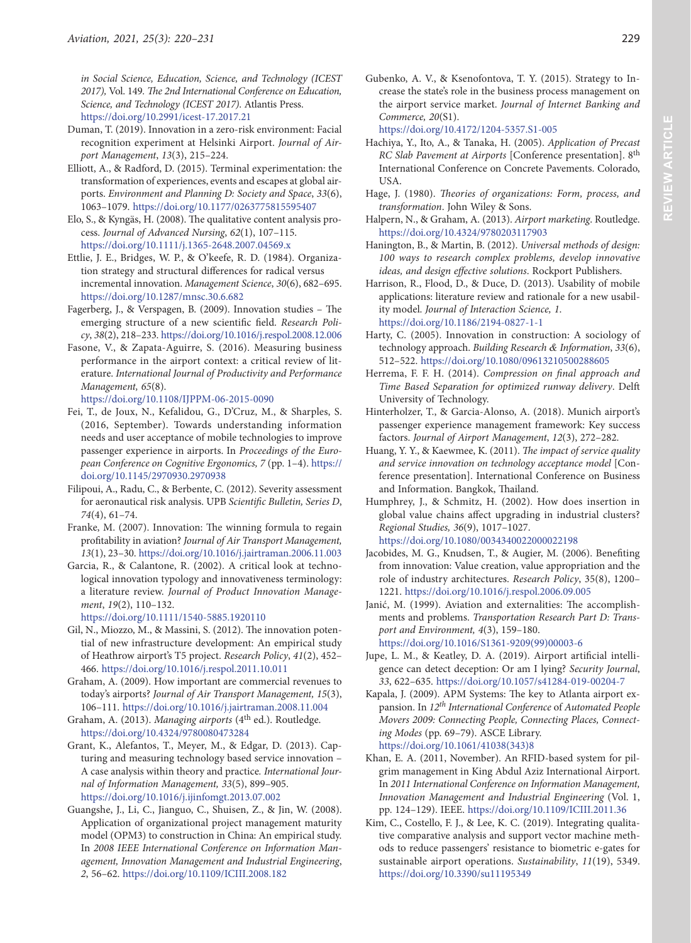*in Social Science, Education, Science, and Technology (ICEST 2017),* Vol. 149*. The 2nd International Conference on Education, Science, and Technology (ICEST 2017)*. Atlantis Press. <https://doi.org/10.2991/icest-17.2017.21>

- Duman, T. (2019). Innovation in a zero-risk environment: Facial recognition experiment at Helsinki Airport. *Journal of Airport Management*, *13*(3), 215–224.
- Elliott, A., & Radford, D. (2015). Terminal experimentation: the transformation of experiences, events and escapes at global airports. *Environment and Planning D: Society and Space*, *33*(6), 1063–1079. <https://doi.org/10.1177/0263775815595407>
- Elo, S., & Kyngäs, H. (2008). The qualitative content analysis process. *Journal of Advanced Nursing*, *62*(1), 107–115. <https://doi.org/10.1111/j.1365-2648.2007.04569.x>
- Ettlie, J. E., Bridges, W. P., & O'keefe, R. D. (1984). Organization strategy and structural differences for radical versus incremental innovation. *Management Science*, *30*(6), 682–695. <https://doi.org/10.1287/mnsc.30.6.682>
- Fagerberg, J., & Verspagen, B. (2009). Innovation studies The emerging structure of a new scientific field. *Research Policy*, *38*(2), 218–233.<https://doi.org/10.1016/j.respol.2008.12.006>
- Fasone, V., & Zapata-Aguirre, S. (2016). Measuring business performance in the airport context: a critical review of literature. *International Journal of Productivity and Performance Management, 65*(8).

<https://doi.org/10.1108/IJPPM-06-2015-0090>

- Fei, T., de Joux, N., Kefalidou, G., D'Cruz, M., & Sharples, S. (2016, September). Towards understanding information needs and user acceptance of mobile technologies to improve passenger experience in airports. In *Proceedings of the European Conference on Cognitive Ergonomics, 7* (pp. 1–4). [https://](https://doi.org/10.1145/2970930.2970938) [doi.org/10.1145/2970930.2970938](https://doi.org/10.1145/2970930.2970938)
- Filipoui, A., Radu, C., & Berbente, C. (2012). Severity assessment for aeronautical risk analysis. UPB *Scientific Bulletin, Series D*, *74*(4), 61–74.
- Franke, M. (2007). Innovation: The winning formula to regain profitability in aviation? *Journal of Air Transport Management, 13*(1), 23–30. <https://doi.org/10.1016/j.jairtraman.2006.11.003>
- Garcia, R., & Calantone, R. (2002). A critical look at technological innovation typology and innovativeness terminology: a literature review. *Journal of Product Innovation Management*, *19*(2), 110–132.

<https://doi.org/10.1111/1540-5885.1920110>

- Gil, N., Miozzo, M., & Massini, S. (2012). The innovation potential of new infrastructure development: An empirical study of Heathrow airport's T5 project. *Research Policy*, *41*(2), 452– 466.<https://doi.org/10.1016/j.respol.2011.10.011>
- Graham, A. (2009). How important are commercial revenues to today's airports? *Journal of Air Transport Management, 15*(3), 106–111. <https://doi.org/10.1016/j.jairtraman.2008.11.004>
- Graham, A. (2013). *Managing airports* (4<sup>th</sup> ed.). Routledge. <https://doi.org/10.4324/9780080473284>
- Grant, K., Alefantos, T., Meyer, M., & Edgar, D. (2013). Capturing and measuring technology based service innovation – A case analysis within theory and practice*. International Journal of Information Management, 33*(5), 899–905. <https://doi.org/10.1016/j.ijinfomgt.2013.07.002>
- Guangshe, J., Li, C., Jianguo, C., Shuisen, Z., & Jin, W. (2008). Application of organizational project management maturity model (OPM3) to construction in China: An empirical study. In *2008 IEEE International Conference on Information Management, Innovation Management and Industrial Engineering*, *2*, 56–62. <https://doi.org/10.1109/ICIII.2008.182>

Gubenko, A. V., & Ksenofontova, T. Y. (2015). Strategy to Increase the state's role in the business process management on the airport service market. *Journal of Internet Banking and Commerce, 20*(S1).

<https://doi.org/10.4172/1204-5357.S1-005>

- Hachiya, Y., Ito, A., & Tanaka, H. (2005). *Application of Precast RC Slab Pavement at Airports* [Conference presentation]. 8th International Conference on Concrete Pavements. Colorado, USA.
- Hage, J. (1980). *Theories of organizations: Form, process, and transformation*. John Wiley & Sons.
- Halpern, N., & Graham, A. (2013). *Airport marketing*. Routledge. <https://doi.org/10.4324/9780203117903>
- Hanington, B., & Martin, B. (2012). *Universal methods of design: 100 ways to research complex problems, develop innovative ideas, and design effective solutions*. Rockport Publishers.
- Harrison, R., Flood, D., & Duce, D. (2013). Usability of mobile applications: literature review and rationale for a new usability model. *Journal of Interaction Science, 1*. <https://doi.org/10.1186/2194-0827-1-1>
- Harty, C. (2005). Innovation in construction: A sociology of technology approach. *Building Research & Information*, *33*(6), 512–522. <https://doi.org/10.1080/09613210500288605>
- Herrema, F. F. H. (2014). *Compression on final approach and Time Based Separation for optimized runway delivery*. Delft University of Technology.
- Hinterholzer, T., & Garcia-Alonso, A. (2018). Munich airport's passenger experience management framework: Key success factors. *Journal of Airport Management*, *12*(3), 272–282.
- Huang, Y. Y., & Kaewmee, K. (2011). *The impact of service quality and service innovation on technology acceptance model* [Conference presentation]. International Conference on Business and Information. Bangkok, Thailand.
- Humphrey, J., & Schmitz, H. (2002). How does insertion in global value chains affect upgrading in industrial clusters? *Regional Studies, 36*(9), 1017–1027. <https://doi.org/10.1080/0034340022000022198>
- Jacobides, M. G., Knudsen, T., & Augier, M. (2006). Benefiting from innovation: Value creation, value appropriation and the role of industry architectures. *Research Policy*, 35(8), 1200– 1221. <https://doi.org/10.1016/j.respol.2006.09.005>
- Janić, M. (1999). Aviation and externalities: The accomplishments and problems. *Transportation Research Part D: Transport and Environment, 4*(3), 159–180. [https://doi.org/10.1016/S1361-9209\(99\)00003-6](https://doi.org/10.1016/S1361-9209(99)00003-6)
- Jupe, L. M., & Keatley, D. A. (2019). Airport artificial intelligence can detect deception: Or am I lying? *Security Journal*, *33*, 622–635. <https://doi.org/10.1057/s41284-019-00204-7>
- Kapala, J. (2009). APM Systems: The key to Atlanta airport expansion. In *12th International Conference* of *Automated People Movers 2009: Connecting People, Connecting Places, Connecting Modes* (pp. 69–79). ASCE Library. [https://doi.org/10.1061/41038\(343\)8](https://doi.org/10.1061/41038(343)8)
- Khan, E. A. (2011, November). An RFID-based system for pilgrim management in King Abdul Aziz International Airport. In *2011 International Conference on Information Management, Innovation Management and Industrial Engineering* (Vol. 1, pp. 124–129). IEEE. <https://doi.org/10.1109/ICIII.2011.36>
- Kim, C., Costello, F. J., & Lee, K. C. (2019). Integrating qualitative comparative analysis and support vector machine methods to reduce passengers' resistance to biometric e-gates for sustainable airport operations. *Sustainability*, *11*(19), 5349. <https://doi.org/10.3390/su11195349>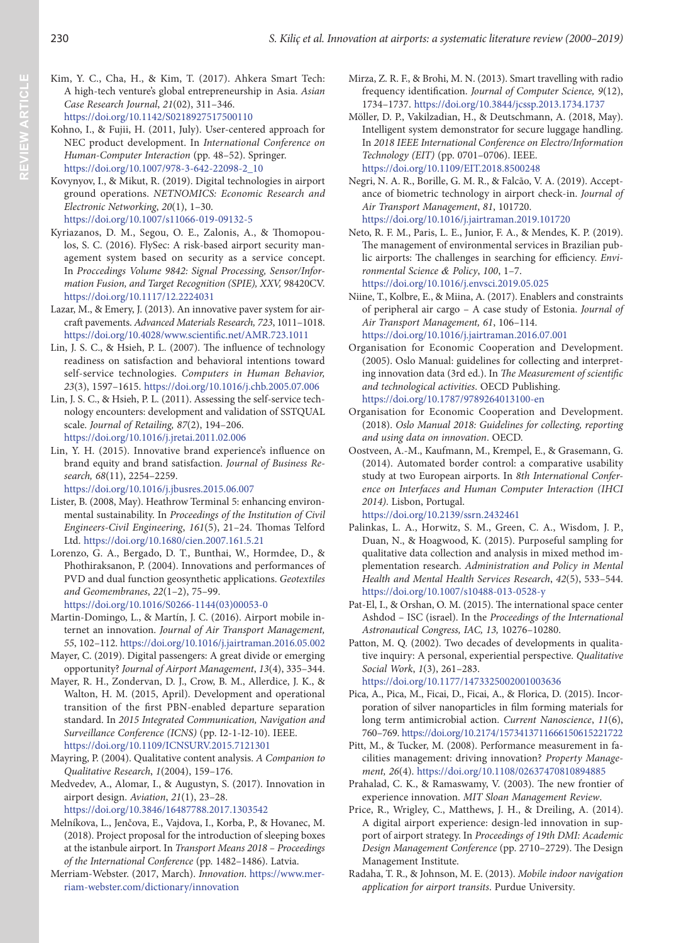- Kim, Y. C., Cha, H., & Kim, T. (2017). Ahkera Smart Tech: A high-tech venture's global entrepreneurship in Asia. *Asian Case Research Journal*, *21*(02), 311–346. <https://doi.org/10.1142/S0218927517500110>
- Kohno, I., & Fujii, H. (2011, July). User-centered approach for NEC product development. In *International Conference on Human-Computer Interaction* (pp. 48–52). Springer. [https://doi.org/10.1007/978-3-642-22098-2\\_10](https://doi.org/10.1007/978-3-642-22098-2_10)
- Kovynyov, I., & Mikut, R. (2019). Digital technologies in airport ground operations. *NETNOMICS: Economic Research and Electronic Networking*, *20*(1), 1–30. <https://doi.org/10.1007/s11066-019-09132-5>
- Kyriazanos, D. M., Segou, O. E., Zalonis, A., & Thomopoulos, S. C. (2016). FlySec: A risk-based airport security management system based on security as a service concept. In *Proccedings Volume 9842: Signal Processing, Sensor/Information Fusion, and Target Recognition (SPIE), XXV,* 98420CV. <https://doi.org/10.1117/12.2224031>
- Lazar, M., & Emery, J. (2013). An innovative paver system for aircraft pavements. *Advanced Materials Research, 723*, 1011–1018. <https://doi.org/10.4028/www.scientific.net/AMR.723.1011>
- Lin, J. S. C., & Hsieh, P. L. (2007). The influence of technology readiness on satisfaction and behavioral intentions toward self-service technologies. *Computers in Human Behavior, 23*(3), 1597–1615. <https://doi.org/10.1016/j.chb.2005.07.006>
- Lin, J. S. C., & Hsieh, P. L. (2011). Assessing the self-service technology encounters: development and validation of SSTQUAL scale. *Journal of Retailing, 87*(2), 194–206. <https://doi.org/10.1016/j.jretai.2011.02.006>
- Lin, Y. H. (2015). Innovative brand experience's influence on brand equity and brand satisfaction. *Journal of Business Research, 68*(11), 2254–2259.

<https://doi.org/10.1016/j.jbusres.2015.06.007>

- Lister, B. (2008, May). Heathrow Terminal 5: enhancing environmental sustainability. In *Proceedings of the Institution of Civil Engineers-Civil Engineering*, *161*(5), 21–24. Thomas Telford Ltd.<https://doi.org/10.1680/cien.2007.161.5.21>
- Lorenzo, G. A., Bergado, D. T., Bunthai, W., Hormdee, D., & Phothiraksanon, P. (2004). Innovations and performances of PVD and dual function geosynthetic applications. *Geotextiles and Geomembranes*, *22*(1–2), 75–99. [https://doi.org/10.1016/S0266-1144\(03\)00053-0](https://doi.org/10.1016/S0266-1144(03)00053-0)
- Martin-Domingo, L., & Martín, J. C. (2016). Airport mobile internet an innovation. *Journal of Air Transport Management,*
- *55*, 102–112.<https://doi.org/10.1016/j.jairtraman.2016.05.002> Mayer, C. (2019). Digital passengers: A great divide or emerging opportunity? *Journal of Airport Management*, *13*(4), 335–344.
- Mayer, R. H., Zondervan, D. J., Crow, B. M., Allerdice, J. K., & Walton, H. M. (2015, April). Development and operational transition of the first PBN-enabled departure separation standard. In *2015 Integrated Communication, Navigation and Surveillance Conference (ICNS)* (pp. I2-1-I2-10). IEEE. <https://doi.org/10.1109/ICNSURV.2015.7121301>
- Mayring, P. (2004). Qualitative content analysis. *A Companion to Qualitative Research*, *1*(2004), 159–176.
- Medvedev, A., Alomar, I., & Augustyn, S. (2017). Innovation in airport design. *Aviation*, *21*(1), 23–28.
- <https://doi.org/10.3846/16487788.2017.1303542>
- Melníkova, L., Jenčova, E., Vajdova, I., Korba, P., & Hovanec, M. (2018). Project proposal for the introduction of sleeping boxes at the istanbule airport. In *Transport Means 2018 – Proceedings of the International Conference* (pp. 1482–1486). Latvia.
- Merriam-Webster. (2017, March). *Innovation*. [https://www.mer](https://www.merriam-webster.com/dictionary/innovation)[riam-webster.com/dictionary/innovation](https://www.merriam-webster.com/dictionary/innovation)
- Mirza, Z. R. F., & Brohi, M. N. (2013). Smart travelling with radio frequency identification. *Journal of Computer Science, 9*(12), 1734–1737.<https://doi.org/10.3844/jcssp.2013.1734.1737>
- Möller, D. P., Vakilzadian, H., & Deutschmann, A. (2018, May). Intelligent system demonstrator for secure luggage handling. In *2018 IEEE International Conference on Electro/Information Technology (EIT)* (pp. 0701–0706). IEEE. <https://doi.org/10.1109/EIT.2018.8500248>
- Negri, N. A. R., Borille, G. M. R., & Falcão, V. A. (2019). Acceptance of biometric technology in airport check-in. *Journal of Air Transport Management*, *81*, 101720. <https://doi.org/10.1016/j.jairtraman.2019.101720>
- Neto, R. F. M., Paris, L. E., Junior, F. A., & Mendes, K. P. (2019). The management of environmental services in Brazilian public airports: The challenges in searching for efficiency. *Environmental Science & Policy*, *100*, 1–7. <https://doi.org/10.1016/j.envsci.2019.05.025>
- Niine, T., Kolbre, E., & Miina, A. (2017). Enablers and constraints of peripheral air cargo – A case study of Estonia. *Journal of Air Transport Management, 61*, 106–114. <https://doi.org/10.1016/j.jairtraman.2016.07.001>
- Organisation for Economic Cooperation and Development. (2005). Oslo Manual: guidelines for collecting and interpreting innovation data (3rd ed.). In *The Measurement of scientific and technological activities*. OECD Publishing. <https://doi.org/10.1787/9789264013100-en>
- Organisation for Economic Cooperation and Development. (2018). *Oslo Manual 2018: Guidelines for collecting, reporting and using data on innovation*. OECD.
- Oostveen, A.-M., Kaufmann, M., Krempel, E., & Grasemann, G. (2014). Automated border control: a comparative usability study at two European airports. In *8th International Conference on Interfaces and Human Computer Interaction (IHCI 2014)*. Lisbon, Portugal.

- Palinkas, L. A., Horwitz, S. M., Green, C. A., Wisdom, J. P., Duan, N., & Hoagwood, K. (2015). Purposeful sampling for qualitative data collection and analysis in mixed method implementation research. *Administration and Policy in Mental Health and Mental Health Services Research*, *42*(5), 533–544. <https://doi.org/10.1007/s10488-013-0528-y>
- Pat-El, I., & Orshan, O. M. (2015). The international space center Ashdod – ISC (israel). In the *Proceedings of the International Astronautical Congress, IAC, 13,* 10276–10280.
- Patton, M. Q. (2002). Two decades of developments in qualitative inquiry: A personal, experiential perspective. *Qualitative Social Work*, *1*(3), 261–283. <https://doi.org/10.1177/1473325002001003636>
- Pica, A., Pica, M., Ficai, D., Ficai, A., & Florica, D. (2015). Incorporation of silver nanoparticles in film forming materials for long term antimicrobial action. *Current Nanoscience*, *11*(6), 760–769.<https://doi.org/10.2174/1573413711666150615221722>
- Pitt, M., & Tucker, M. (2008). Performance measurement in facilities management: driving innovation? *Property Management, 26*(4). <https://doi.org/10.1108/02637470810894885>
- Prahalad, C. K., & Ramaswamy, V. (2003). The new frontier of experience innovation. *MIT Sloan Management Review*.
- Price, R., Wrigley, C., Matthews, J. H., & Dreiling, A. (2014). A digital airport experience: design-led innovation in support of airport strategy. In *Proceedings of 19th DMI: Academic Design Management Conference* (pp. 2710–2729). The Design Management Institute.
- Radaha, T. R., & Johnson, M. E. (2013). *Mobile indoor navigation application for airport transits*. Purdue University*.*

<https://doi.org/10.2139/ssrn.2432461>